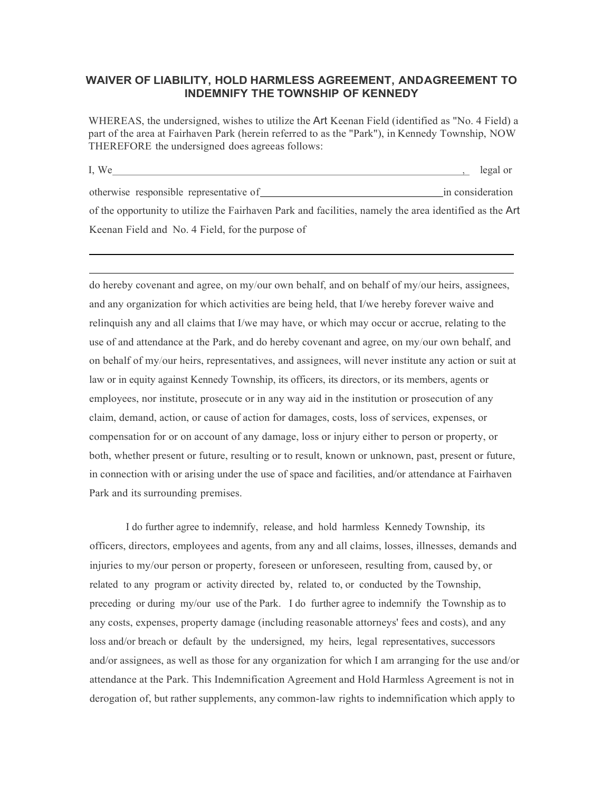## **WAIVER OF LIABILITY, HOLD HARMLESS AGREEMENT, ANDAGREEMENT TO INDEMNIFY THE TOWNSHIP OF KENNEDY**

WHEREAS, the undersigned, wishes to utilize the Art Keenan Field (identified as "No. 4 Field) a part of the area at Fairhaven Park (herein referred to as the "Park"), in Kennedy Township, NOW THEREFORE the undersigned does agreeas follows:

I, We legal or otherwise responsible representative of in consideration of the opportunity to utilize the Fairhaven Park and facilities, namely the area identified as the Art Keenan Field and No. 4 Field, for the purpose of

do hereby covenant and agree, on my/our own behalf, and on behalf of my/our heirs, assignees, and any organization for which activities are being held, that I/we hereby forever waive and relinquish any and all claims that I/we may have, or which may occur or accrue, relating to the use of and attendance at the Park, and do hereby covenant and agree, on my/our own behalf, and on behalf of my/our heirs, representatives, and assignees, will never institute any action or suit at law or in equity against Kennedy Township, its officers, its directors, or its members, agents or employees, nor institute, prosecute or in any way aid in the institution or prosecution of any claim, demand, action, or cause of action for damages, costs, loss of services, expenses, or compensation for or on account of any damage, loss or injury either to person or property, or both, whether present or future, resulting or to result, known or unknown, past, present or future, in connection with or arising under the use of space and facilities, and/or attendance at Fairhaven Park and its surrounding premises.

I do further agree to indemnify, release, and hold harmless Kennedy Township, its officers, directors, employees and agents, from any and all claims, losses, illnesses, demands and injuries to my/our person or property, foreseen or unforeseen, resulting from, caused by, or related to any program or activity directed by, related to, or conducted by the Township, preceding or during my/our use of the Park. I do further agree to indemnify the Township as to any costs, expenses, property damage (including reasonable attorneys' fees and costs), and any loss and/or breach or default by the undersigned, my heirs, legal representatives, successors and/or assignees, as well as those for any organization for which I am arranging for the use and/or attendance at the Park. This Indemnification Agreement and Hold Harmless Agreement is not in derogation of, but rather supplements, any common-law rights to indemnification which apply to